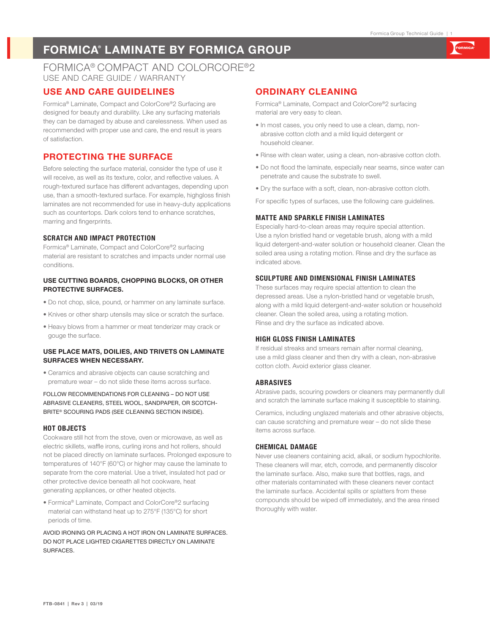# **FORMICA® LAMINATE BY FORMICA GROUP**

## FORMICA® COMPACT AND COLORCORE®2 USE AND CARE GUIDE / WARRANTY

## **USE AND CARE GUIDELINES**

Formica® Laminate, Compact and ColorCore®2 Surfacing are designed for beauty and durability. Like any surfacing materials they can be damaged by abuse and carelessness. When used as recommended with proper use and care, the end result is years of satisfaction.

## **PROTECTING THE SURFACE**

Before selecting the surface material, consider the type of use it will receive, as well as its texture, color, and reflective values. A rough-textured surface has different advantages, depending upon use, than a smooth-textured surface. For example, highgloss finish laminates are not recommended for use in heavy-duty applications such as countertops. Dark colors tend to enhance scratches, marring and fingerprints.

### **SCRATCH AND IMPACT PROTECTION**

Formica® Laminate, Compact and ColorCore®2 surfacing material are resistant to scratches and impacts under normal use conditions.

#### **USE CUTTING BOARDS, CHOPPING BLOCKS, OR OTHER PROTECTIVE SURFACES.**

- Do not chop, slice, pound, or hammer on any laminate surface.
- Knives or other sharp utensils may slice or scratch the surface.
- Heavy blows from a hammer or meat tenderizer may crack or gouge the surface.

#### **USE PLACE MATS, DOILIES, AND TRIVETS ON LAMINATE SURFACES WHEN NECESSARY.**

• Ceramics and abrasive objects can cause scratching and premature wear – do not slide these items across surface.

FOLLOW RECOMMENDATIONS FOR CLEANING – DO NOT USE ABRASIVE CLEANERS, STEEL WOOL, SANDPAPER, OR SCOTCH-BRITE® SCOURING PADS (SEE CLEANING SECTION INSIDE).

#### **HOT OBJECTS**

Cookware still hot from the stove, oven or microwave, as well as electric skillets, waffle irons, curling irons and hot rollers, should not be placed directly on laminate surfaces. Prolonged exposure to temperatures of 140°F (60°C) or higher may cause the laminate to separate from the core material. Use a trivet, insulated hot pad or other protective device beneath all hot cookware, heat generating appliances, or other heated objects.

• Formica® Laminate, Compact and ColorCore®2 surfacing material can withstand heat up to 275°F (135°C) for short periods of time.

AVOID IRONING OR PLACING A HOT IRON ON LAMINATE SURFACES. DO NOT PLACE LIGHTED CIGARETTES DIRECTLY ON LAMINATE SURFACES.

# **ORDINARY CLEANING**

Formica® Laminate, Compact and ColorCore®2 surfacing material are very easy to clean.

- In most cases, you only need to use a clean, damp, nonabrasive cotton cloth and a mild liquid detergent or household cleaner.
- Rinse with clean water, using a clean, non-abrasive cotton cloth.
- Do not flood the laminate, especially near seams, since water can penetrate and cause the substrate to swell.
- Dry the surface with a soft, clean, non-abrasive cotton cloth.

For specific types of surfaces, use the following care guidelines.

#### **MATTE AND SPARKLE FINISH LAMINATES**

Especially hard-to-clean areas may require special attention. Use a nylon bristled hand or vegetable brush, along with a mild liquid detergent-and-water solution or household cleaner. Clean the soiled area using a rotating motion. Rinse and dry the surface as indicated above.

## **SCULPTURE AND DIMENSIONAL FINISH LAMINATES**

These surfaces may require special attention to clean the depressed areas. Use a nylon-bristled hand or vegetable brush, along with a mild liquid detergent-and-water solution or household cleaner. Clean the soiled area, using a rotating motion. Rinse and dry the surface as indicated above.

#### **HIGH GLOSS FINISH LAMINATES**

If residual streaks and smears remain after normal cleaning, use a mild glass cleaner and then dry with a clean, non-abrasive cotton cloth. Avoid exterior glass cleaner.

#### **ABRASIVES**

Abrasive pads, scouring powders or cleaners may permanently dull and scratch the laminate surface making it susceptible to staining.

Ceramics, including unglazed materials and other abrasive objects, can cause scratching and premature wear – do not slide these items across surface.

#### **CHEMICAL DAMAGE**

Never use cleaners containing acid, alkali, or sodium hypochlorite. These cleaners will mar, etch, corrode, and permanently discolor the laminate surface. Also, make sure that bottles, rags, and other materials contaminated with these cleaners never contact the laminate surface. Accidental spills or splatters from these compounds should be wiped off immediately, and the area rinsed thoroughly with water.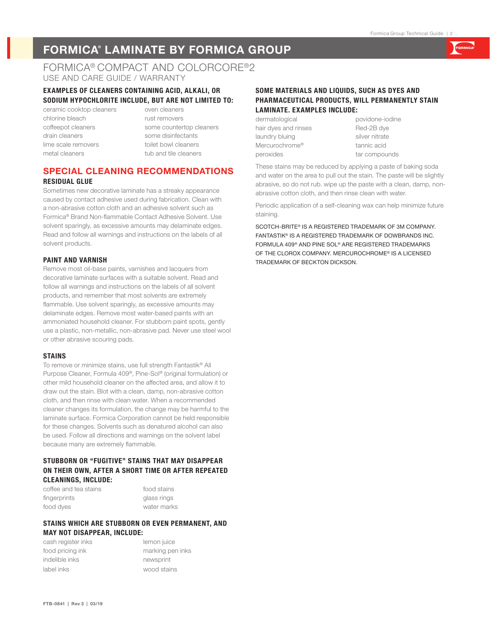# **FORMICA® LAMINATE BY FORMICA GROUP**

## FORMICA® COMPACT AND COLORCORE®2 USE AND CARE GUIDE / WARRANTY

#### **EXAMPLES OF CLEANERS CONTAINING ACID, ALKALI, OR SODIUM HYPOCHLORITE INCLUDE, BUT ARE NOT LIMITED TO:**

ceramic cooktop cleaners oven cleaners chlorine bleach rust removers drain cleaners some disinfectants lime scale removers toilet bowl cleaners metal cleaners tub and tile cleaners

coffeepot cleaners some countertop cleaners

### **SPECIAL CLEANING RECOMMENDATIONS RESIDUAL GLUE**

Sometimes new decorative laminate has a streaky appearance caused by contact adhesive used during fabrication. Clean with a non-abrasive cotton cloth and an adhesive solvent such as Formica® Brand Non-flammable Contact Adhesive Solvent. Use solvent sparingly, as excessive amounts may delaminate edges. Read and follow all warnings and instructions on the labels of all solvent products.

#### **PAINT AND VARNISH**

Remove most oil-base paints, varnishes and lacquers from decorative laminate surfaces with a suitable solvent. Read and follow all warnings and instructions on the labels of all solvent products, and remember that most solvents are extremely flammable. Use solvent sparingly, as excessive amounts may delaminate edges. Remove most water-based paints with an ammoniated household cleaner. For stubborn paint spots, gently use a plastic, non-metallic, non-abrasive pad. Never use steel wool or other abrasive scouring pads.

#### **STAINS**

To remove or minimize stains, use full strength Fantastik® All Purpose Cleaner, Formula 409®, Pine-Sol® (original formulation) or other mild household cleaner on the affected area, and allow it to draw out the stain. Blot with a clean, damp, non-abrasive cotton cloth, and then rinse with clean water. When a recommended cleaner changes its formulation, the change may be harmful to the laminate surface. Formica Corporation cannot be held responsible for these changes. Solvents such as denatured alcohol can also be used. Follow all directions and warnings on the solvent label because many are extremely flammable.

#### **STUBBORN OR "FUGITIVE" STAINS THAT MAY DISAPPEAR ON THEIR OWN, AFTER A SHORT TIME OR AFTER REPEATED CLEANINGS, INCLUDE:**

coffee and tea stains food stains fingerprints **glass** rings food dyes water marks

#### **STAINS WHICH ARE STUBBORN OR EVEN PERMANENT, AND MAY NOT DISAPPEAR, INCLUDE:**

cash register inks **lemon** juice food pricing ink marking pen inks indelible inks newsprint label inks wood stains

## **SOME MATERIALS AND LIQUIDS, SUCH AS DYES AND PHARMACEUTICAL PRODUCTS, WILL PERMANENTLY STAIN LAMINATE. EXAMPLES INCLUDE:**

dermatological povidone-iodine hair dyes and rinses Red-2B dye laundry bluing silver nitrate Mercurochrome® tannic acid peroxides tar compounds

These stains may be reduced by applying a paste of baking soda and water on the area to pull out the stain. The paste will be slightly abrasive, so do not rub. wipe up the paste with a clean, damp, nonabrasive cotton cloth, and then rinse clean with water.

Periodic application of a self-cleaning wax can help minimize future staining.

SCOTCH-BRITE® IS A REGISTERED TRADEMARK OF 3M COMPANY. FANTASTIK® IS A REGISTERED TRADEMARK OF DOWBRANDS INC. FORMULA 409® AND PINE SOL® ARE REGISTERED TRADEMARKS OF THE CLOROX COMPANY. MERCUROCHROME® IS A LICENSED TRADEMARK OF BECKTON DICKSON.